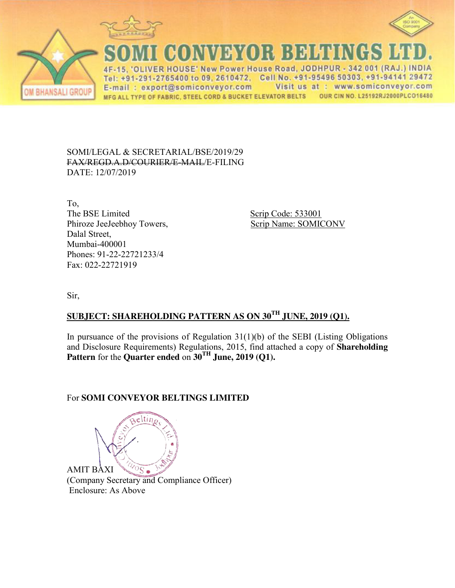



CONVEYOR BELTINGS ER HOUSE' New Power House Road, JODHPUR - 342 001 (RAJ.) INDIA  $\Delta F$ Tel: +91-291-2765400 to 09, 2610472, Cell No. +91-95496 50303, +91-94141 29472 Visit us at : www.somiconveyor.com

E-mail: export@somiconveyor.com OUR CIN NO. L25192RJ2000PLCO16480 MFG ALL TYPE OF FABRIC, STEEL CORD & BUCKET ELEVATOR BELTS

SOMI/LEGAL & SECRETARIAL/BSE/2019/29 FAX/REGD.A.D/COURIER/E-MAIL/E-FILING DATE: 12/07/2019

To, The BSE Limited Scrip Code: 533001 Phiroze JeeJeebhoy Towers, Scrip Name: SOMICONV Dalal Street, Mumbai-400001 Phones: 91-22-22721233/4 Fax: 022-22721919

Sir,

# **SUBJECT: SHAREHOLDING PATTERN AS ON 30TH JUNE, 2019 (Q1).**

In pursuance of the provisions of Regulation  $31(1)(b)$  of the SEBI (Listing Obligations and Disclosure Requirements) Regulations, 2015, find attached a copy of **Shareholding Pattern** for the **Quarter ended** on **30TH June, 2019 (Q1).**

## For **SOMI CONVEYOR BELTINGS LIMITED**

eltir AMIT BAXI  $\circ$   $\circ$ 

(Company Secretary and Compliance Officer) Enclosure: As Above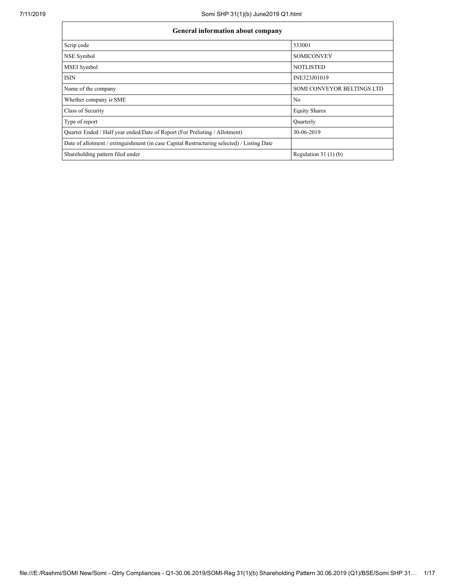| <b>General information about company</b>                                                   |                            |  |  |  |  |  |  |  |
|--------------------------------------------------------------------------------------------|----------------------------|--|--|--|--|--|--|--|
| Scrip code                                                                                 | 533001                     |  |  |  |  |  |  |  |
| NSE Symbol                                                                                 | <b>SOMICONVEY</b>          |  |  |  |  |  |  |  |
| <b>MSEI</b> Symbol                                                                         | <b>NOTLISTED</b>           |  |  |  |  |  |  |  |
| <b>ISIN</b>                                                                                | INE323J01019               |  |  |  |  |  |  |  |
| Name of the company                                                                        | SOMI CONVEYOR BELTINGS LTD |  |  |  |  |  |  |  |
| Whether company is SME                                                                     | N <sub>0</sub>             |  |  |  |  |  |  |  |
| Class of Security                                                                          | <b>Equity Shares</b>       |  |  |  |  |  |  |  |
| Type of report                                                                             | Quarterly                  |  |  |  |  |  |  |  |
| Quarter Ended / Half year ended/Date of Report (For Prelisting / Allotment)                | 30-06-2019                 |  |  |  |  |  |  |  |
| Date of allotment / extinguishment (in case Capital Restructuring selected) / Listing Date |                            |  |  |  |  |  |  |  |
| Shareholding pattern filed under                                                           | Regulation $31(1)(b)$      |  |  |  |  |  |  |  |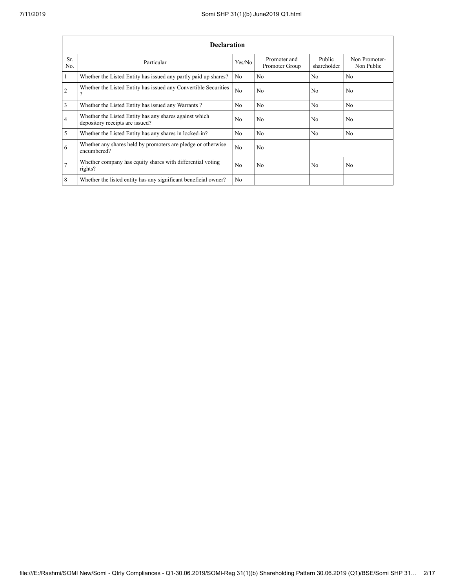|                         | <b>Declaration</b>                                                                        |                |                                |                       |                             |  |  |  |  |  |
|-------------------------|-------------------------------------------------------------------------------------------|----------------|--------------------------------|-----------------------|-----------------------------|--|--|--|--|--|
| Sr.<br>No.              | Particular                                                                                | Yes/No         | Promoter and<br>Promoter Group | Public<br>shareholder | Non Promoter-<br>Non Public |  |  |  |  |  |
| 1                       | Whether the Listed Entity has issued any partly paid up shares?                           | No.            | N <sub>0</sub>                 | N <sub>0</sub>        | N <sub>0</sub>              |  |  |  |  |  |
| $\overline{2}$          | Whether the Listed Entity has issued any Convertible Securities                           | N <sub>0</sub> | N <sub>0</sub>                 | N <sub>0</sub>        | N <sub>0</sub>              |  |  |  |  |  |
| $\overline{\mathbf{3}}$ | Whether the Listed Entity has issued any Warrants?                                        | N <sub>0</sub> | N <sub>0</sub>                 | N <sub>0</sub>        | No                          |  |  |  |  |  |
| $\overline{4}$          | Whether the Listed Entity has any shares against which<br>depository receipts are issued? | No.            | N <sub>0</sub>                 | No                    | N <sub>0</sub>              |  |  |  |  |  |
| $\overline{5}$          | Whether the Listed Entity has any shares in locked-in?                                    | N <sub>0</sub> | N <sub>0</sub>                 | N <sub>0</sub>        | N <sub>0</sub>              |  |  |  |  |  |
| 6                       | Whether any shares held by promoters are pledge or otherwise<br>encumbered?               | N <sub>0</sub> | N <sub>0</sub>                 |                       |                             |  |  |  |  |  |
| $\overline{7}$          | Whether company has equity shares with differential voting<br>rights?                     | N <sub>0</sub> | N <sub>0</sub>                 | N <sub>0</sub>        | N <sub>0</sub>              |  |  |  |  |  |
| 8                       | Whether the listed entity has any significant beneficial owner?                           | N <sub>0</sub> |                                |                       |                             |  |  |  |  |  |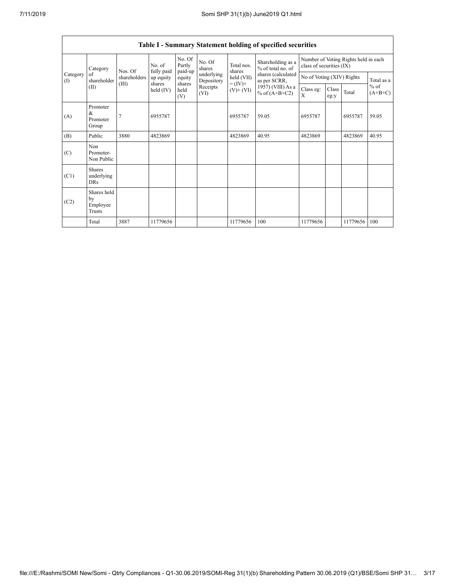|                 | <b>Table I - Summary Statement holding of specified securities</b> |                         |                                   |                             |                          |                                                                    |                                        |                                                                  |               |          |                     |
|-----------------|--------------------------------------------------------------------|-------------------------|-----------------------------------|-----------------------------|--------------------------|--------------------------------------------------------------------|----------------------------------------|------------------------------------------------------------------|---------------|----------|---------------------|
|                 | Category<br>of<br>shareholder<br>(II)                              | Nos. Of<br>shareholders | No. of<br>fully paid<br>up equity | No. Of<br>Partly<br>paid-up | No. Of<br>shares         | Total nos.<br>shares<br>held (VII)<br>$= (IV) +$<br>$(V)$ + $(VI)$ | Shareholding as a<br>% of total no. of | Number of Voting Rights held in each<br>class of securities (IX) |               |          |                     |
| Category<br>(1) |                                                                    |                         |                                   | equity<br>shares            | underlying<br>Depository |                                                                    | shares (calculated<br>as per SCRR,     | No of Voting (XIV) Rights                                        |               |          | Total as a          |
|                 |                                                                    | (III)                   | shares<br>held $(IV)$             | held<br>(V)                 | Receipts<br>(VI)         |                                                                    | 1957) (VIII) As a<br>% of $(A+B+C2)$   | Class eg:<br>X                                                   | Class<br>eg:y | Total    | $%$ of<br>$(A+B+C)$ |
| (A)             | Promoter<br>&<br>Promoter<br>Group                                 | $\overline{7}$          | 6955787                           |                             |                          | 6955787                                                            | 59.05                                  | 6955787                                                          |               | 6955787  | 59.05               |
| (B)             | Public                                                             | 3880                    | 4823869                           |                             |                          | 4823869                                                            | 40.95                                  | 4823869                                                          |               | 4823869  | 40.95               |
| (C)             | Non<br>Promoter-<br>Non Public                                     |                         |                                   |                             |                          |                                                                    |                                        |                                                                  |               |          |                     |
| (C1)            | <b>Shares</b><br>underlying<br><b>DRs</b>                          |                         |                                   |                             |                          |                                                                    |                                        |                                                                  |               |          |                     |
| (C2)            | Shares held<br>by<br>Employee<br>Trusts                            |                         |                                   |                             |                          |                                                                    |                                        |                                                                  |               |          |                     |
|                 | Total                                                              | 3887                    | 11779656                          |                             |                          | 11779656                                                           | 100                                    | 11779656                                                         |               | 11779656 | 100                 |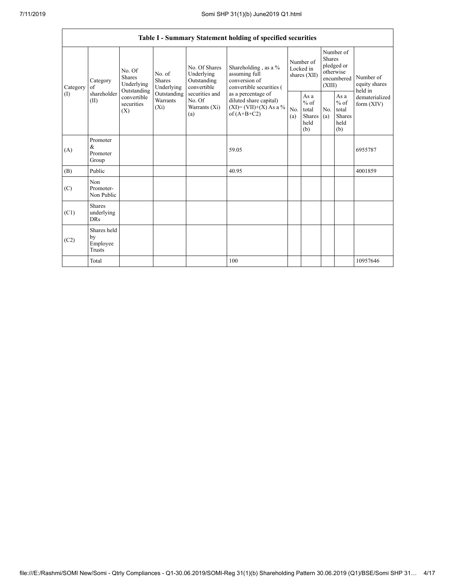|               |             |                                           |                                                                                          |                                                                             |                                                                                                               | Table I - Summary Statement holding of specified securities                                                                                                                    |                                                  |            |                                                                               |                                |                                       |
|---------------|-------------|-------------------------------------------|------------------------------------------------------------------------------------------|-----------------------------------------------------------------------------|---------------------------------------------------------------------------------------------------------------|--------------------------------------------------------------------------------------------------------------------------------------------------------------------------------|--------------------------------------------------|------------|-------------------------------------------------------------------------------|--------------------------------|---------------------------------------|
| Category      |             | Category<br>of                            | No. Of<br><b>Shares</b><br>Underlying<br>Outstanding<br>convertible<br>securities<br>(X) | No. of<br><b>Shares</b><br>Underlying<br>Outstanding<br>Warrants<br>$(X_i)$ | No. Of Shares<br>Underlying<br>Outstanding<br>convertible<br>securities and<br>No. Of<br>Warrants (Xi)<br>(a) | Shareholding, as a %<br>assuming full<br>conversion of<br>convertible securities (<br>as a percentage of<br>diluted share capital)<br>$(XI)=(VII)+(X) As a %$<br>of $(A+B+C2)$ | Number of<br>Locked in<br>shares $(XII)$         |            | Number of<br><b>Shares</b><br>pledged or<br>otherwise<br>encumbered<br>(XIII) |                                | Number of<br>equity shares<br>held in |
| $($ I<br>(II) | shareholder | No.<br>(a)                                |                                                                                          |                                                                             |                                                                                                               |                                                                                                                                                                                | As a<br>$%$ of<br>total<br>Shares<br>held<br>(b) | No.<br>(a) | As a<br>$%$ of<br>total<br><b>Shares</b><br>held<br>(b)                       | dematerialized<br>form $(XIV)$ |                                       |
|               | (A)         | Promoter<br>&<br>Promoter<br>Group        |                                                                                          |                                                                             |                                                                                                               | 59.05                                                                                                                                                                          |                                                  |            |                                                                               |                                | 6955787                               |
|               | (B)         | Public                                    |                                                                                          |                                                                             |                                                                                                               | 40.95                                                                                                                                                                          |                                                  |            |                                                                               |                                | 4001859                               |
|               | (C)         | Non<br>Promoter-<br>Non Public            |                                                                                          |                                                                             |                                                                                                               |                                                                                                                                                                                |                                                  |            |                                                                               |                                |                                       |
|               | (C1)        | <b>Shares</b><br>underlying<br><b>DRs</b> |                                                                                          |                                                                             |                                                                                                               |                                                                                                                                                                                |                                                  |            |                                                                               |                                |                                       |
|               | (C2)        | Shares held<br>by<br>Employee<br>Trusts   |                                                                                          |                                                                             |                                                                                                               |                                                                                                                                                                                |                                                  |            |                                                                               |                                |                                       |
|               |             | Total                                     |                                                                                          |                                                                             |                                                                                                               | 100                                                                                                                                                                            |                                                  |            |                                                                               |                                | 10957646                              |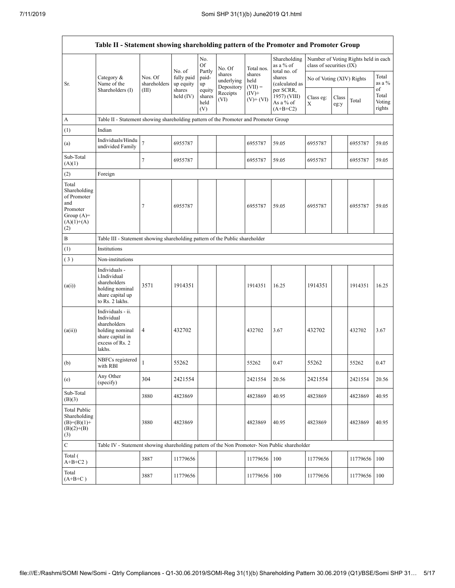|                                                                                                | Table II - Statement showing shareholding pattern of the Promoter and Promoter Group                                |                                                                              |                                   |                                 |                                    |                             |                                                      |                           |               |                                      |                                 |  |
|------------------------------------------------------------------------------------------------|---------------------------------------------------------------------------------------------------------------------|------------------------------------------------------------------------------|-----------------------------------|---------------------------------|------------------------------------|-----------------------------|------------------------------------------------------|---------------------------|---------------|--------------------------------------|---------------------------------|--|
|                                                                                                |                                                                                                                     |                                                                              |                                   | No.<br>Of                       | No. Of                             | Total nos.                  | Shareholding<br>as a % of                            | class of securities (IX)  |               | Number of Voting Rights held in each |                                 |  |
| Sr.                                                                                            | Category &<br>Name of the                                                                                           | Nos. Of<br>shareholders                                                      | No. of<br>fully paid<br>up equity | Partly<br>paid-<br>up           | shares<br>underlying<br>Depository | shares<br>held<br>$(VII) =$ | total no. of<br>shares<br>(calculated as             | No of Voting (XIV) Rights |               |                                      | Total<br>as a $%$               |  |
|                                                                                                | Shareholders (I)                                                                                                    | (III)                                                                        | shares<br>held $(IV)$             | equity<br>shares<br>held<br>(V) | Receipts<br>(VI)                   | $(IV)+$<br>$(V)$ + $(VI)$   | per SCRR.<br>1957) (VIII)<br>As a % of<br>$(A+B+C2)$ | Class eg:<br>X            | Class<br>eg:y | Total                                | of<br>Total<br>Voting<br>rights |  |
| А                                                                                              | Table II - Statement showing shareholding pattern of the Promoter and Promoter Group                                |                                                                              |                                   |                                 |                                    |                             |                                                      |                           |               |                                      |                                 |  |
| (1)                                                                                            | Indian                                                                                                              |                                                                              |                                   |                                 |                                    |                             |                                                      |                           |               |                                      |                                 |  |
| (a)                                                                                            | Individuals/Hindu<br>undivided Family                                                                               | $\overline{7}$                                                               | 6955787                           |                                 |                                    | 6955787                     | 59.05                                                | 6955787                   |               | 6955787                              | 59.05                           |  |
| Sub-Total<br>(A)(1)                                                                            |                                                                                                                     | 7                                                                            | 6955787                           |                                 |                                    | 6955787                     | 59.05                                                | 6955787                   |               | 6955787                              | 59.05                           |  |
| (2)                                                                                            | Foreign                                                                                                             |                                                                              |                                   |                                 |                                    |                             |                                                      |                           |               |                                      |                                 |  |
| Total<br>Shareholding<br>of Promoter<br>and<br>Promoter<br>Group $(A)=$<br>$(A)(1)+(A)$<br>(2) |                                                                                                                     | 7                                                                            | 6955787                           |                                 |                                    | 6955787                     | 59.05                                                | 6955787                   |               | 6955787                              | 59.05                           |  |
| B                                                                                              |                                                                                                                     | Table III - Statement showing shareholding pattern of the Public shareholder |                                   |                                 |                                    |                             |                                                      |                           |               |                                      |                                 |  |
| (1)                                                                                            | Institutions                                                                                                        |                                                                              |                                   |                                 |                                    |                             |                                                      |                           |               |                                      |                                 |  |
| (3)                                                                                            | Non-institutions                                                                                                    |                                                                              |                                   |                                 |                                    |                             |                                                      |                           |               |                                      |                                 |  |
| (a(i))                                                                                         | Individuals -<br>i.Individual<br>shareholders<br>holding nominal<br>share capital up<br>to Rs. 2 lakhs.             | 3571                                                                         | 1914351                           |                                 |                                    | 1914351                     | 16.25                                                | 1914351                   |               | 1914351                              | 16.25                           |  |
| (a(ii))                                                                                        | Individuals - ii.<br>Individual<br>shareholders<br>holding nominal<br>share capital in<br>excess of Rs. 2<br>lakhs. | 4                                                                            | 432702                            |                                 |                                    | 432702                      | 3.67                                                 | 432702                    |               | 432702                               | 3.67                            |  |
| (b)                                                                                            | NBFCs registered<br>with RBI                                                                                        | 1                                                                            | 55262                             |                                 |                                    | 55262                       | 0.47                                                 | 55262                     |               | 55262                                | 0.47                            |  |
| (e)                                                                                            | Any Other<br>(specify)                                                                                              | 304                                                                          | 2421554                           |                                 |                                    | 2421554                     | 20.56                                                | 2421554                   |               | 2421554                              | 20.56                           |  |
| Sub-Total<br>(B)(3)                                                                            |                                                                                                                     | 3880                                                                         | 4823869                           |                                 |                                    | 4823869                     | 40.95                                                | 4823869                   |               | 4823869                              | 40.95                           |  |
| <b>Total Public</b><br>Shareholding<br>$(B)= (B)(1) +$<br>$(B)(2)+(B)$<br>(3)                  |                                                                                                                     | 3880                                                                         | 4823869                           |                                 |                                    | 4823869                     | 40.95                                                | 4823869                   |               | 4823869                              | 40.95                           |  |
| $\mathbf C$                                                                                    | Table IV - Statement showing shareholding pattern of the Non Promoter- Non Public shareholder                       |                                                                              |                                   |                                 |                                    |                             |                                                      |                           |               |                                      |                                 |  |
| Total (<br>$A+B+C2$ )                                                                          |                                                                                                                     | 3887                                                                         | 11779656                          |                                 |                                    | 11779656                    | 100                                                  | 11779656                  |               | 11779656                             | 100                             |  |
| Total<br>$(A+B+C)$                                                                             |                                                                                                                     | 3887                                                                         | 11779656                          |                                 |                                    | 11779656                    | 100                                                  | 11779656                  |               | 11779656                             | 100                             |  |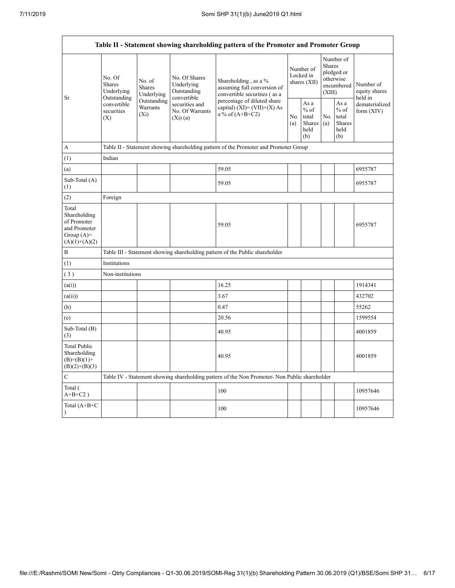| Table II - Statement showing shareholding pattern of the Promoter and Promoter Group    |                                                                                       |                                                                                      |                                                           |                                                                                               |            |                                                         |            |                                                                               |                                       |  |  |
|-----------------------------------------------------------------------------------------|---------------------------------------------------------------------------------------|--------------------------------------------------------------------------------------|-----------------------------------------------------------|-----------------------------------------------------------------------------------------------|------------|---------------------------------------------------------|------------|-------------------------------------------------------------------------------|---------------------------------------|--|--|
| Sr.                                                                                     | No. Of<br><b>Shares</b><br>Underlying                                                 | No. of<br><b>Shares</b><br>Underlying                                                | No. Of Shares<br>Underlying<br>Outstanding<br>convertible | Shareholding, as a %<br>assuming full conversion of<br>convertible securities (as a           |            | Number of<br>Locked in<br>shares (XII)                  |            | Number of<br><b>Shares</b><br>pledged or<br>otherwise<br>encumbered<br>(XIII) | Number of<br>equity shares<br>held in |  |  |
|                                                                                         | Outstanding<br>Outstanding<br>convertible<br>Warrants<br>securities<br>$(X_i)$<br>(X) |                                                                                      | securities and<br>No. Of Warrants<br>(Xi)(a)              | percentage of diluted share<br>capital) $(XI) = (VII)+(X) As$<br>a % of $(A+B+C2)$            | No.<br>(a) | As a<br>$%$ of<br>total<br><b>Shares</b><br>held<br>(b) | No.<br>(a) | As a<br>$%$ of<br>total<br><b>Shares</b><br>held<br>(b)                       | dematerialized<br>form $(XIV)$        |  |  |
| A                                                                                       |                                                                                       | Table II - Statement showing shareholding pattern of the Promoter and Promoter Group |                                                           |                                                                                               |            |                                                         |            |                                                                               |                                       |  |  |
| (1)                                                                                     | Indian                                                                                |                                                                                      |                                                           |                                                                                               |            |                                                         |            |                                                                               |                                       |  |  |
| (a)                                                                                     |                                                                                       |                                                                                      |                                                           | 59.05                                                                                         |            |                                                         |            |                                                                               | 6955787                               |  |  |
| Sub-Total (A)<br>(1)                                                                    |                                                                                       |                                                                                      |                                                           | 59.05                                                                                         |            |                                                         |            |                                                                               | 6955787                               |  |  |
| (2)                                                                                     | Foreign                                                                               |                                                                                      |                                                           |                                                                                               |            |                                                         |            |                                                                               |                                       |  |  |
| Total<br>Shareholding<br>of Promoter<br>and Promoter<br>Group $(A)=$<br>$(A)(1)+(A)(2)$ |                                                                                       |                                                                                      |                                                           | 59.05                                                                                         |            |                                                         |            |                                                                               | 6955787                               |  |  |
| B                                                                                       |                                                                                       |                                                                                      |                                                           | Table III - Statement showing shareholding pattern of the Public shareholder                  |            |                                                         |            |                                                                               |                                       |  |  |
| (1)                                                                                     | Institutions                                                                          |                                                                                      |                                                           |                                                                                               |            |                                                         |            |                                                                               |                                       |  |  |
| (3)                                                                                     | Non-institutions                                                                      |                                                                                      |                                                           |                                                                                               |            |                                                         |            |                                                                               |                                       |  |  |
| (a(i))                                                                                  |                                                                                       |                                                                                      |                                                           | 16.25                                                                                         |            |                                                         |            |                                                                               | 1914341                               |  |  |
| (a(ii))                                                                                 |                                                                                       |                                                                                      |                                                           | 3.67                                                                                          |            |                                                         |            |                                                                               | 432702                                |  |  |
| (b)                                                                                     |                                                                                       |                                                                                      |                                                           | 0.47                                                                                          |            |                                                         |            |                                                                               | 55262                                 |  |  |
| (e)                                                                                     |                                                                                       |                                                                                      |                                                           | 20.56                                                                                         |            |                                                         |            |                                                                               | 1599554                               |  |  |
| Sub-Total (B)<br>(3)                                                                    |                                                                                       |                                                                                      |                                                           | 40.95                                                                                         |            |                                                         |            |                                                                               | 4001859                               |  |  |
| <b>Total Public</b><br>Shareholding<br>$(B)= (B)(1) +$<br>$(B)(2)+(B)(3)$               |                                                                                       |                                                                                      |                                                           | 40.95                                                                                         |            |                                                         |            |                                                                               | 4001859                               |  |  |
| $\mathbf C$                                                                             |                                                                                       |                                                                                      |                                                           | Table IV - Statement showing shareholding pattern of the Non Promoter- Non Public shareholder |            |                                                         |            |                                                                               |                                       |  |  |
| Total (<br>$A+B+C2$ )                                                                   |                                                                                       |                                                                                      |                                                           | 100                                                                                           |            |                                                         |            |                                                                               | 10957646                              |  |  |
| Total (A+B+C<br>$\mathcal{E}$                                                           |                                                                                       |                                                                                      |                                                           | 100                                                                                           |            |                                                         |            |                                                                               | 10957646                              |  |  |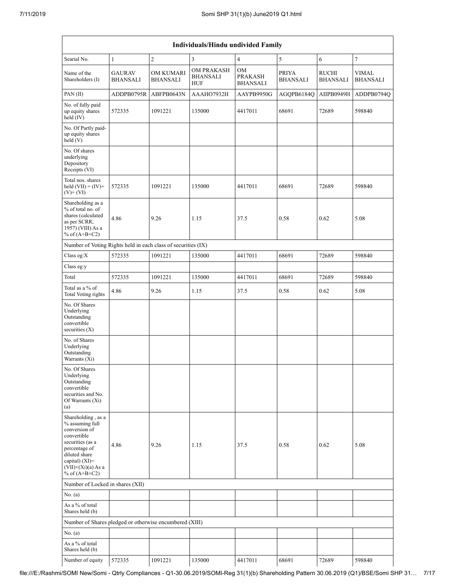| <b>Individuals/Hindu undivided Family</b>                                                                                                                                                |                                  |                              |                                             |                                         |                                 |                                 |                                 |  |  |  |
|------------------------------------------------------------------------------------------------------------------------------------------------------------------------------------------|----------------------------------|------------------------------|---------------------------------------------|-----------------------------------------|---------------------------------|---------------------------------|---------------------------------|--|--|--|
| Searial No.                                                                                                                                                                              | $\mathbf{1}$                     | $\overline{\mathbf{c}}$      | $\mathfrak z$                               | $\overline{4}$                          | 5                               | 6                               | $\tau$                          |  |  |  |
| Name of the<br>Shareholders (I)                                                                                                                                                          | <b>GAURAV</b><br><b>BHANSALI</b> | OM KUMARI<br><b>BHANSALI</b> | OM PRAKASH<br><b>BHANSALI</b><br><b>HUF</b> | OM<br><b>PRAKASH</b><br><b>BHANSALI</b> | <b>PRIYA</b><br><b>BHANSALI</b> | <b>RUCHI</b><br><b>BHANSALI</b> | <b>VIMAL</b><br><b>BHANSALI</b> |  |  |  |
| PAN $(II)$                                                                                                                                                                               | ADDPB0795R                       | ABFPB0643N                   | AAAHO7932H                                  | AAYPB9950G                              | AGQPB6184Q                      | AIIPB0949H                      | ADDPB0794Q                      |  |  |  |
| No. of fully paid<br>up equity shares<br>held (IV)                                                                                                                                       | 572335                           | 1091221                      | 135000                                      | 4417011                                 | 68691                           | 72689                           | 598840                          |  |  |  |
| No. Of Partly paid-<br>up equity shares<br>held(V)                                                                                                                                       |                                  |                              |                                             |                                         |                                 |                                 |                                 |  |  |  |
| No. Of shares<br>underlying<br>Depository<br>Receipts (VI)                                                                                                                               |                                  |                              |                                             |                                         |                                 |                                 |                                 |  |  |  |
| Total nos. shares<br>held $(VII) = (IV) +$<br>$(V)$ + $(VI)$                                                                                                                             | 572335                           | 1091221                      | 135000                                      | 4417011                                 | 68691                           | 72689                           | 598840                          |  |  |  |
| Shareholding as a<br>% of total no. of<br>shares (calculated<br>as per SCRR,<br>1957) (VIII) As a<br>% of $(A+B+C2)$                                                                     | 4.86                             | 9.26                         | 1.15                                        | 37.5                                    | 0.58                            | 0.62                            | 5.08                            |  |  |  |
| Number of Voting Rights held in each class of securities (IX)                                                                                                                            |                                  |                              |                                             |                                         |                                 |                                 |                                 |  |  |  |
| Class eg:X                                                                                                                                                                               | 572335                           | 1091221                      | 135000                                      | 4417011                                 | 68691                           | 72689                           | 598840                          |  |  |  |
| Class eg:y                                                                                                                                                                               |                                  |                              |                                             |                                         |                                 |                                 |                                 |  |  |  |
| Total                                                                                                                                                                                    | 572335                           | 1091221                      | 135000                                      | 4417011                                 | 68691                           | 72689                           | 598840                          |  |  |  |
| Total as a % of<br><b>Total Voting rights</b>                                                                                                                                            | 4.86                             | 9.26                         | 1.15                                        | 37.5                                    | 0.58                            | 0.62                            | 5.08                            |  |  |  |
| No. Of Shares<br>Underlying<br>Outstanding<br>convertible<br>securities $(X)$                                                                                                            |                                  |                              |                                             |                                         |                                 |                                 |                                 |  |  |  |
| No. of Shares<br>Underlying<br>Outstanding<br>Warrants (Xi)                                                                                                                              |                                  |                              |                                             |                                         |                                 |                                 |                                 |  |  |  |
| No. Of Shares<br>Underlying<br>Outstanding<br>convertible<br>securities and No.<br>Of Warrants (Xi)<br>(a)                                                                               |                                  |                              |                                             |                                         |                                 |                                 |                                 |  |  |  |
| Shareholding, as a<br>% assuming full<br>conversion of<br>convertible<br>securities (as a<br>percentage of<br>diluted share<br>capital) (XI)=<br>$(VII)+(Xi)(a)$ As a<br>% of $(A+B+C2)$ | 4.86                             | 9.26                         | 1.15                                        | 37.5                                    | 0.58                            | 0.62                            | 5.08                            |  |  |  |
| Number of Locked in shares (XII)                                                                                                                                                         |                                  |                              |                                             |                                         |                                 |                                 |                                 |  |  |  |
| No. (a)                                                                                                                                                                                  |                                  |                              |                                             |                                         |                                 |                                 |                                 |  |  |  |
| As a % of total<br>Shares held (b)                                                                                                                                                       |                                  |                              |                                             |                                         |                                 |                                 |                                 |  |  |  |
| Number of Shares pledged or otherwise encumbered (XIII)                                                                                                                                  |                                  |                              |                                             |                                         |                                 |                                 |                                 |  |  |  |
| No. $(a)$                                                                                                                                                                                |                                  |                              |                                             |                                         |                                 |                                 |                                 |  |  |  |
| As a % of total<br>Shares held (b)                                                                                                                                                       |                                  |                              |                                             |                                         |                                 |                                 |                                 |  |  |  |
| Number of equity                                                                                                                                                                         | 572335                           | 1091221                      | 135000                                      | 4417011                                 | 68691                           | 72689                           | 598840                          |  |  |  |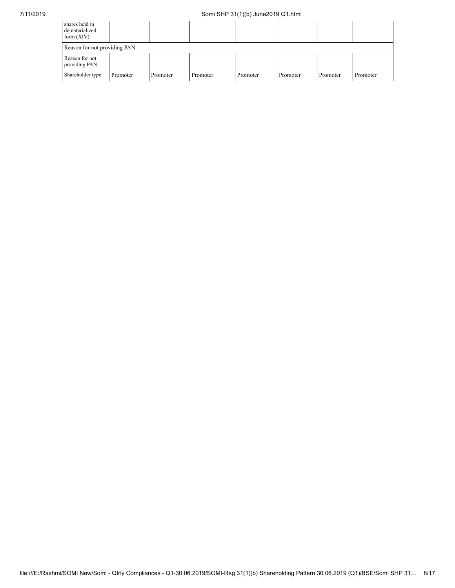### 7/11/2019 Somi SHP 31(1)(b) June2019 Q1.html

| shares held in<br>dematerialized<br>form $(XIV)$ |          |          |          |          |          |          |          |  |  |  |
|--------------------------------------------------|----------|----------|----------|----------|----------|----------|----------|--|--|--|
| Reason for not providing PAN                     |          |          |          |          |          |          |          |  |  |  |
| Reason for not<br>providing PAN                  |          |          |          |          |          |          |          |  |  |  |
| Shareholder type                                 | Promoter | Promoter | Promoter | Promoter | Promoter | Promoter | Promoter |  |  |  |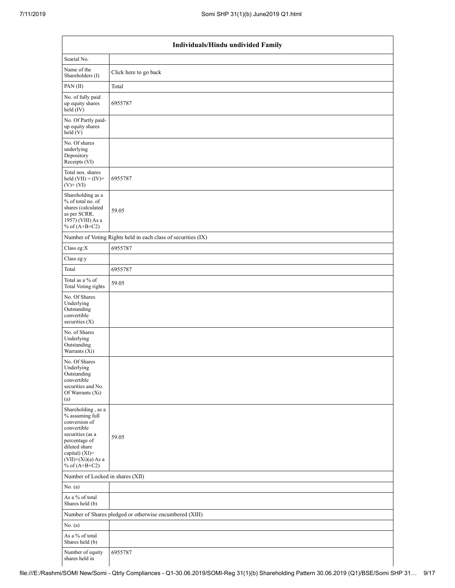| Individuals/Hindu undivided Family                                                                                                                                                       |                                                               |  |  |  |  |  |  |
|------------------------------------------------------------------------------------------------------------------------------------------------------------------------------------------|---------------------------------------------------------------|--|--|--|--|--|--|
| Searial No.                                                                                                                                                                              |                                                               |  |  |  |  |  |  |
| Name of the<br>Shareholders (I)                                                                                                                                                          | Click here to go back                                         |  |  |  |  |  |  |
| PAN(II)                                                                                                                                                                                  | Total                                                         |  |  |  |  |  |  |
| No. of fully paid<br>up equity shares<br>$\text{held}(\text{IV})$                                                                                                                        | 6955787                                                       |  |  |  |  |  |  |
| No. Of Partly paid-<br>up equity shares<br>held (V)                                                                                                                                      |                                                               |  |  |  |  |  |  |
| No. Of shares<br>underlying<br>Depository<br>Receipts (VI)                                                                                                                               |                                                               |  |  |  |  |  |  |
| Total nos. shares<br>held $(VII) = (IV) +$<br>$(V)+(VI)$                                                                                                                                 | 6955787                                                       |  |  |  |  |  |  |
| Shareholding as a<br>% of total no. of<br>shares (calculated<br>as per SCRR,<br>1957) (VIII) As a<br>% of $(A+B+C2)$                                                                     | 59.05                                                         |  |  |  |  |  |  |
|                                                                                                                                                                                          | Number of Voting Rights held in each class of securities (IX) |  |  |  |  |  |  |
| Class eg:X                                                                                                                                                                               | 6955787                                                       |  |  |  |  |  |  |
| Class eg:y                                                                                                                                                                               |                                                               |  |  |  |  |  |  |
| Total                                                                                                                                                                                    | 6955787                                                       |  |  |  |  |  |  |
| Total as a % of<br><b>Total Voting rights</b>                                                                                                                                            | 59.05                                                         |  |  |  |  |  |  |
| No. Of Shares<br>Underlying<br>Outstanding<br>convertible<br>securities $(X)$                                                                                                            |                                                               |  |  |  |  |  |  |
| No. of Shares<br>Underlying<br>Outstanding<br>Warrants $(X_i)$                                                                                                                           |                                                               |  |  |  |  |  |  |
| No. Of Shares<br>Underlying<br>Outstanding<br>convertible<br>securities and No.<br>Of Warrants (Xi)<br>(a)                                                                               |                                                               |  |  |  |  |  |  |
| Shareholding, as a<br>% assuming full<br>conversion of<br>convertible<br>securities (as a<br>percentage of<br>diluted share<br>capital) (XI)=<br>$(VII)+(Xi)(a)$ As a<br>% of $(A+B+C2)$ | 59.05                                                         |  |  |  |  |  |  |
| Number of Locked in shares (XII)                                                                                                                                                         |                                                               |  |  |  |  |  |  |
| No. (a)                                                                                                                                                                                  |                                                               |  |  |  |  |  |  |
| As a % of total<br>Shares held (b)                                                                                                                                                       |                                                               |  |  |  |  |  |  |
|                                                                                                                                                                                          | Number of Shares pledged or otherwise encumbered (XIII)       |  |  |  |  |  |  |
| No. (a)                                                                                                                                                                                  |                                                               |  |  |  |  |  |  |
| As a % of total<br>Shares held (b)                                                                                                                                                       |                                                               |  |  |  |  |  |  |
| Number of equity<br>shares held in                                                                                                                                                       | 6955787                                                       |  |  |  |  |  |  |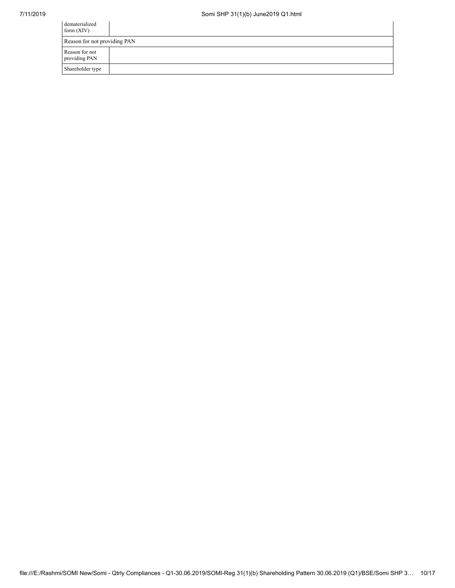| dematerialized<br>form $(XIV)$  |  |  |  |  |  |  |
|---------------------------------|--|--|--|--|--|--|
| Reason for not providing PAN    |  |  |  |  |  |  |
| Reason for not<br>providing PAN |  |  |  |  |  |  |
| Shareholder type                |  |  |  |  |  |  |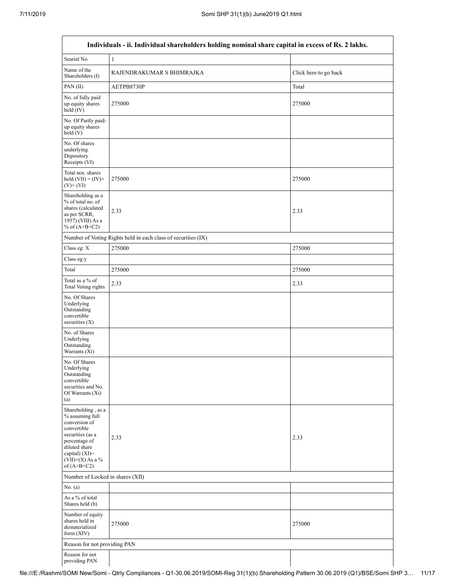$\overline{\phantom{a}}$ 

| Individuals - ii. Individual shareholders holding nominal share capital in excess of Rs. 2 lakhs.                                                                                    |                                                               |                       |  |  |  |  |  |  |  |
|--------------------------------------------------------------------------------------------------------------------------------------------------------------------------------------|---------------------------------------------------------------|-----------------------|--|--|--|--|--|--|--|
| Searial No.                                                                                                                                                                          | $\mathbf{1}$                                                  |                       |  |  |  |  |  |  |  |
| Name of the<br>Shareholders (I)                                                                                                                                                      | RAJENDRAKUMAR S BHIMRAJKA                                     | Click here to go back |  |  |  |  |  |  |  |
| PAN(II)                                                                                                                                                                              | AETPB8730P                                                    | Total                 |  |  |  |  |  |  |  |
| No. of fully paid<br>up equity shares<br>held (IV)                                                                                                                                   | 275000                                                        | 275000                |  |  |  |  |  |  |  |
| No. Of Partly paid-<br>up equity shares<br>held (V)                                                                                                                                  |                                                               |                       |  |  |  |  |  |  |  |
| No. Of shares<br>underlying<br>Depository<br>Receipts (VI)                                                                                                                           |                                                               |                       |  |  |  |  |  |  |  |
| Total nos. shares<br>held $(VII) = (IV) +$<br>$(V)+(VI)$                                                                                                                             | 275000                                                        | 275000                |  |  |  |  |  |  |  |
| Shareholding as a<br>% of total no. of<br>shares (calculated<br>as per SCRR,<br>1957) (VIII) As a<br>% of $(A+B+C2)$                                                                 | 2.33                                                          | 2.33                  |  |  |  |  |  |  |  |
|                                                                                                                                                                                      | Number of Voting Rights held in each class of securities (IX) |                       |  |  |  |  |  |  |  |
| Class eg: X                                                                                                                                                                          | 275000                                                        | 275000                |  |  |  |  |  |  |  |
| Class eg:y                                                                                                                                                                           |                                                               |                       |  |  |  |  |  |  |  |
| Total                                                                                                                                                                                | 275000                                                        | 275000                |  |  |  |  |  |  |  |
| Total as a % of<br><b>Total Voting rights</b>                                                                                                                                        | 2.33                                                          | 2.33                  |  |  |  |  |  |  |  |
| No. Of Shares<br>Underlying<br>Outstanding<br>convertible<br>securities $(X)$                                                                                                        |                                                               |                       |  |  |  |  |  |  |  |
| No. of Shares<br>Underlying<br>Outstanding<br>Warrants (Xi)                                                                                                                          |                                                               |                       |  |  |  |  |  |  |  |
| No. Of Shares<br>Underlying<br>Outstanding<br>convertible<br>securities and No.<br>Of Warrants (Xi)<br>(a)                                                                           |                                                               |                       |  |  |  |  |  |  |  |
| Shareholding, as a<br>% assuming full<br>conversion of<br>convertible<br>securities (as a<br>percentage of<br>diluted share<br>capital) (XI)=<br>$(VII)+(X)$ As a %<br>of $(A+B+C2)$ | 2.33                                                          | 2.33                  |  |  |  |  |  |  |  |
| Number of Locked in shares (XII)                                                                                                                                                     |                                                               |                       |  |  |  |  |  |  |  |
| No. (a)                                                                                                                                                                              |                                                               |                       |  |  |  |  |  |  |  |
| As a % of total<br>Shares held (b)                                                                                                                                                   |                                                               |                       |  |  |  |  |  |  |  |
| Number of equity<br>shares held in<br>dematerialized<br>form (XIV)                                                                                                                   | 275000                                                        | 275000                |  |  |  |  |  |  |  |
| Reason for not providing PAN                                                                                                                                                         |                                                               |                       |  |  |  |  |  |  |  |
| Reason for not<br>providing PAN                                                                                                                                                      |                                                               |                       |  |  |  |  |  |  |  |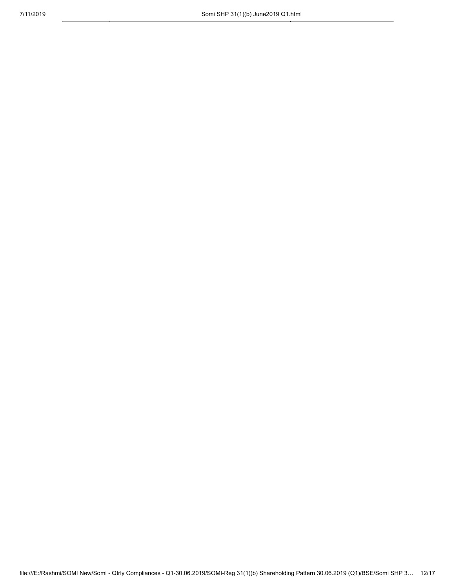file:///E:/Rashmi/SOMI New/Somi - Qtrly Compliances - Q1-30.06.2019/SOMI-Reg 31(1)(b) Shareholding Pattern 30.06.2019 (Q1)/BSE/Somi SHP 3… 12/17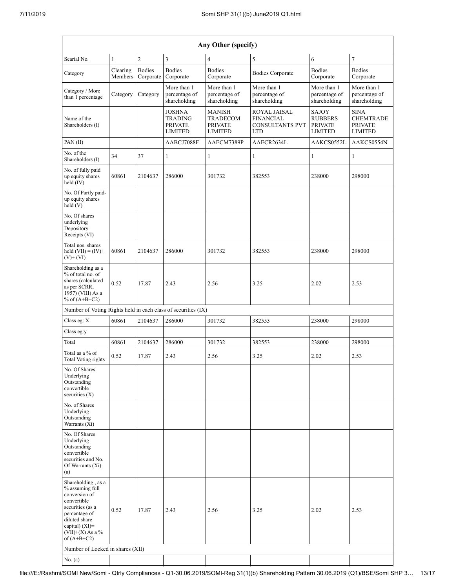| Any Other (specify)                                                                                                                                                                  |                     |                            |                                                                     |                                                                      |                                                                          |                                                             |                                                                     |  |  |  |
|--------------------------------------------------------------------------------------------------------------------------------------------------------------------------------------|---------------------|----------------------------|---------------------------------------------------------------------|----------------------------------------------------------------------|--------------------------------------------------------------------------|-------------------------------------------------------------|---------------------------------------------------------------------|--|--|--|
| Searial No.                                                                                                                                                                          | $\mathbf{1}$        | $\overline{c}$             | 3                                                                   | $\overline{4}$                                                       | 5                                                                        | 6                                                           | $\overline{7}$                                                      |  |  |  |
| Category                                                                                                                                                                             | Clearing<br>Members | <b>Bodies</b><br>Corporate | <b>Bodies</b><br>Corporate                                          | <b>Bodies</b><br>Corporate                                           | <b>Bodies Corporate</b>                                                  | <b>Bodies</b><br>Corporate                                  | <b>Bodies</b><br>Corporate                                          |  |  |  |
| Category / More<br>than 1 percentage                                                                                                                                                 | Category            | Category                   | More than 1<br>percentage of<br>shareholding                        | More than 1<br>percentage of<br>shareholding                         | More than 1<br>percentage of<br>shareholding                             | More than 1<br>percentage of<br>shareholding                | More than 1<br>percentage of<br>shareholding                        |  |  |  |
| Name of the<br>Shareholders (I)                                                                                                                                                      |                     |                            | <b>JOSHNA</b><br><b>TRADING</b><br><b>PRIVATE</b><br><b>LIMITED</b> | <b>MANISH</b><br><b>TRADECOM</b><br><b>PRIVATE</b><br><b>LIMITED</b> | ROYAL JAISAL<br><b>FINANCIAL</b><br><b>CONSULTANTS PVT</b><br><b>LTD</b> | SAJOY<br><b>RUBBERS</b><br><b>PRIVATE</b><br><b>LIMITED</b> | <b>SINA</b><br><b>CHEMTRADE</b><br><b>PRIVATE</b><br><b>LIMITED</b> |  |  |  |
| PAN(II)                                                                                                                                                                              |                     |                            | AABCJ7088F                                                          | AAECM7389P                                                           | AAECR2634L                                                               | AAKCS0552L                                                  | AAKCS0554N                                                          |  |  |  |
| No. of the<br>Shareholders (I)                                                                                                                                                       | 34                  | 37                         | $\mathbf{1}$                                                        | 1                                                                    | 1                                                                        | 1                                                           | 1                                                                   |  |  |  |
| No. of fully paid<br>up equity shares<br>$held$ (IV)                                                                                                                                 | 60861               | 2104637                    | 286000                                                              | 301732                                                               | 382553                                                                   | 238000                                                      | 298000                                                              |  |  |  |
| No. Of Partly paid-<br>up equity shares<br>held(V)                                                                                                                                   |                     |                            |                                                                     |                                                                      |                                                                          |                                                             |                                                                     |  |  |  |
| No. Of shares<br>underlying<br>Depository<br>Receipts (VI)                                                                                                                           |                     |                            |                                                                     |                                                                      |                                                                          |                                                             |                                                                     |  |  |  |
| Total nos. shares<br>held $(VII) = (IV) +$<br>$(V) + (VI)$                                                                                                                           | 60861               | 2104637                    | 286000                                                              | 301732                                                               | 382553                                                                   | 238000                                                      | 298000                                                              |  |  |  |
| Shareholding as a<br>% of total no. of<br>shares (calculated<br>as per SCRR,<br>1957) (VIII) As a<br>% of $(A+B+C2)$                                                                 | 0.52                | 17.87                      | 2.43                                                                | 2.56                                                                 | 3.25                                                                     | 2.02                                                        | 2.53                                                                |  |  |  |
| Number of Voting Rights held in each class of securities (IX)                                                                                                                        |                     |                            |                                                                     |                                                                      |                                                                          |                                                             |                                                                     |  |  |  |
| Class eg: X                                                                                                                                                                          | 60861               | 2104637                    | 286000                                                              | 301732                                                               | 382553                                                                   | 238000                                                      | 298000                                                              |  |  |  |
| Class eg:y                                                                                                                                                                           |                     |                            |                                                                     |                                                                      |                                                                          |                                                             |                                                                     |  |  |  |
| Total                                                                                                                                                                                | 60861               | 2104637                    | 286000                                                              | 301732                                                               | 382553                                                                   | 238000                                                      | 298000                                                              |  |  |  |
| Total as a % of<br>Total Voting rights                                                                                                                                               | 0.52                | 17.87                      | 2.43                                                                | 2.56                                                                 | 3.25                                                                     | 2.02                                                        | 2.53                                                                |  |  |  |
| No. Of Shares<br>Underlying<br>Outstanding<br>convertible<br>securities $(X)$                                                                                                        |                     |                            |                                                                     |                                                                      |                                                                          |                                                             |                                                                     |  |  |  |
| No. of Shares<br>Underlying<br>Outstanding<br>Warrants (Xi)                                                                                                                          |                     |                            |                                                                     |                                                                      |                                                                          |                                                             |                                                                     |  |  |  |
| No. Of Shares<br>Underlying<br>Outstanding<br>convertible<br>securities and No.<br>Of Warrants (Xi)<br>(a)                                                                           |                     |                            |                                                                     |                                                                      |                                                                          |                                                             |                                                                     |  |  |  |
| Shareholding, as a<br>% assuming full<br>conversion of<br>convertible<br>securities (as a<br>percentage of<br>diluted share<br>capital) (XI)=<br>$(VII)+(X)$ As a %<br>of $(A+B+C2)$ | 0.52                | 17.87                      | 2.43                                                                | 2.56                                                                 | 3.25                                                                     | 2.02                                                        | 2.53                                                                |  |  |  |
| Number of Locked in shares (XII)                                                                                                                                                     |                     |                            |                                                                     |                                                                      |                                                                          |                                                             |                                                                     |  |  |  |
| No. $(a)$                                                                                                                                                                            |                     |                            |                                                                     |                                                                      |                                                                          |                                                             |                                                                     |  |  |  |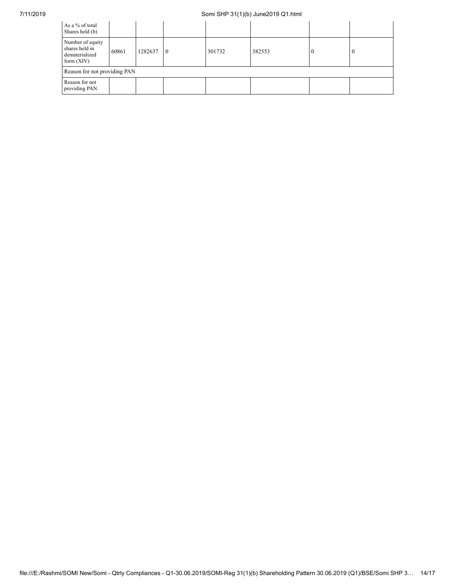### 7/11/2019 Somi SHP 31(1)(b) June2019 Q1.html

| As a % of total<br>Shares held (b)                                   |       |         |                |        |        |          |   |  |
|----------------------------------------------------------------------|-------|---------|----------------|--------|--------|----------|---|--|
| Number of equity<br>shares held in<br>dematerialized<br>form $(XIV)$ | 60861 | 1282637 | $\overline{0}$ | 301732 | 382553 | $\theta$ | v |  |
| Reason for not providing PAN                                         |       |         |                |        |        |          |   |  |
| Reason for not<br>providing PAN                                      |       |         |                |        |        |          |   |  |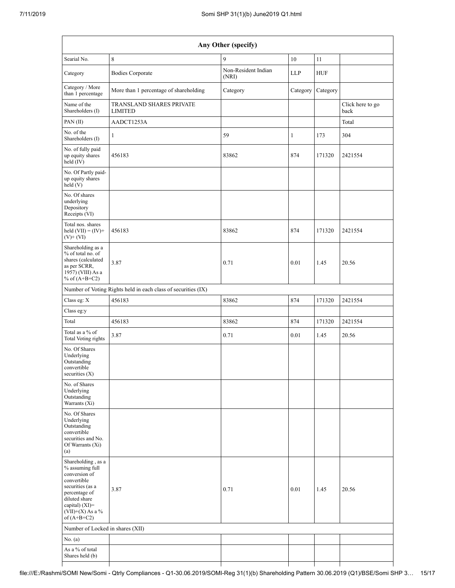| Any Other (specify)                                                                                                                                                                     |                                                               |                              |            |            |                          |  |  |  |
|-----------------------------------------------------------------------------------------------------------------------------------------------------------------------------------------|---------------------------------------------------------------|------------------------------|------------|------------|--------------------------|--|--|--|
| Searial No.                                                                                                                                                                             | $\,$ 8 $\,$                                                   | 9                            | 10         | 11         |                          |  |  |  |
| Category                                                                                                                                                                                | <b>Bodies Corporate</b>                                       | Non-Resident Indian<br>(NRI) | <b>LLP</b> | <b>HUF</b> |                          |  |  |  |
| Category / More<br>than 1 percentage                                                                                                                                                    | More than 1 percentage of shareholding                        | Category                     | Category   | Category   |                          |  |  |  |
| Name of the<br>Shareholders (I)                                                                                                                                                         | TRANSLAND SHARES PRIVATE<br><b>LIMITED</b>                    |                              |            |            | Click here to go<br>back |  |  |  |
| PAN(II)                                                                                                                                                                                 | AADCT1253A                                                    |                              |            |            | Total                    |  |  |  |
| No. of the<br>Shareholders (I)                                                                                                                                                          | $\mathbf{1}$                                                  | 59                           | 1          | 173        | 304                      |  |  |  |
| No. of fully paid<br>up equity shares<br>$held$ (IV)                                                                                                                                    | 456183                                                        | 83862                        | 874        | 171320     | 2421554                  |  |  |  |
| No. Of Partly paid-<br>up equity shares<br>held(V)                                                                                                                                      |                                                               |                              |            |            |                          |  |  |  |
| No. Of shares<br>underlying<br>Depository<br>Receipts (VI)                                                                                                                              |                                                               |                              |            |            |                          |  |  |  |
| Total nos. shares<br>held $(VII) = (IV) +$<br>$(V)$ + $(VI)$                                                                                                                            | 456183                                                        | 83862                        | 874        | 171320     | 2421554                  |  |  |  |
| Shareholding as a<br>% of total no. of<br>shares (calculated<br>as per SCRR,<br>1957) (VIII) As a<br>% of $(A+B+C2)$                                                                    | 3.87                                                          | 0.71                         | 0.01       | 1.45       | 20.56                    |  |  |  |
|                                                                                                                                                                                         | Number of Voting Rights held in each class of securities (IX) |                              |            |            |                          |  |  |  |
| Class eg: X                                                                                                                                                                             | 456183                                                        | 83862                        | 874        | 171320     | 2421554                  |  |  |  |
| Class eg:y                                                                                                                                                                              |                                                               |                              |            |            |                          |  |  |  |
| Total                                                                                                                                                                                   | 456183                                                        | 83862                        | 874        | 171320     | 2421554                  |  |  |  |
| Total as a % of<br>Total Voting rights                                                                                                                                                  | 3.87                                                          | 0.71                         | 0.01       | 1.45       | 20.56                    |  |  |  |
| No. Of Shares<br>Underlying<br>Outstanding<br>convertible<br>securities $(X)$                                                                                                           |                                                               |                              |            |            |                          |  |  |  |
| No. of Shares<br>Underlying<br>Outstanding<br>Warrants (Xi)                                                                                                                             |                                                               |                              |            |            |                          |  |  |  |
| No. Of Shares<br>Underlying<br>Outstanding<br>convertible<br>securities and No.<br>Of Warrants (Xi)<br>(a)                                                                              |                                                               |                              |            |            |                          |  |  |  |
| Shareholding, as a<br>% assuming full<br>conversion of<br>convertible<br>securities (as a<br>percentage of<br>diluted share<br>capital) $(XI)$ =<br>$(VII)+(X)$ As a %<br>of $(A+B+C2)$ | 3.87                                                          | 0.71                         | 0.01       | 1.45       | 20.56                    |  |  |  |
|                                                                                                                                                                                         | Number of Locked in shares (XII)                              |                              |            |            |                          |  |  |  |
| No. (a)                                                                                                                                                                                 |                                                               |                              |            |            |                          |  |  |  |
| As a % of total<br>Shares held (b)                                                                                                                                                      |                                                               |                              |            |            |                          |  |  |  |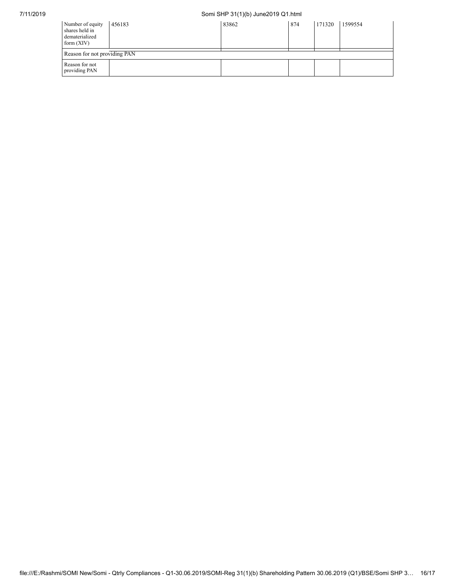### 7/11/2019 Somi SHP 31(1)(b) June2019 Q1.html

| Number of equity<br>shares held in<br>dematerialized<br>form $(XIV)$ | 456183 | 83862 | 874 | 171320 | 1599554 |  |  |
|----------------------------------------------------------------------|--------|-------|-----|--------|---------|--|--|
| Reason for not providing PAN                                         |        |       |     |        |         |  |  |
| Reason for not<br>providing PAN                                      |        |       |     |        |         |  |  |